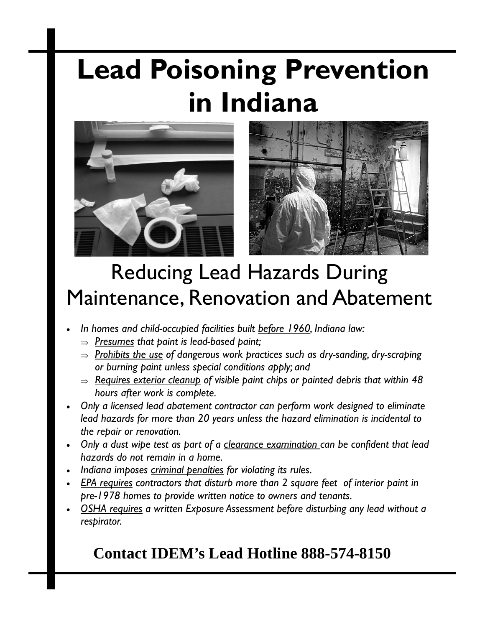# **Lead Poisoning Prevention in Indiana**





## Reducing Lead Hazards During Maintenance, Renovation and Abatement

- *In homes and child-occupied facilities built before 1960, Indiana law:* 
	- ⇒ *Presumes that paint is lead-based paint;*
	- ⇒ *Prohibits the use of dangerous work practices such as dry-sanding, dry-scraping or burning paint unless special conditions apply; and*
	- ⇒ *Requires exterior cleanup of visible paint chips or painted debris that within 48 hours after work is complete.*
- *Only a licensed lead abatement contractor can perform work designed to eliminate lead hazards for more than 20 years unless the hazard elimination is incidental to the repair or renovation.*
- *Only a dust wipe test as part of a clearance examination can be confident that lead hazards do not remain in a home.*
- *Indiana imposes criminal penalties for violating its rules.*
- *EPA requires contractors that disturb more than 2 square feet of interior paint in pre-1978 homes to provide written notice to owners and tenants.*
- *OSHA requires a written Exposure Assessment before disturbing any lead without a respirator.*

## **Contact IDEM's Lead Hotline 888-574-8150**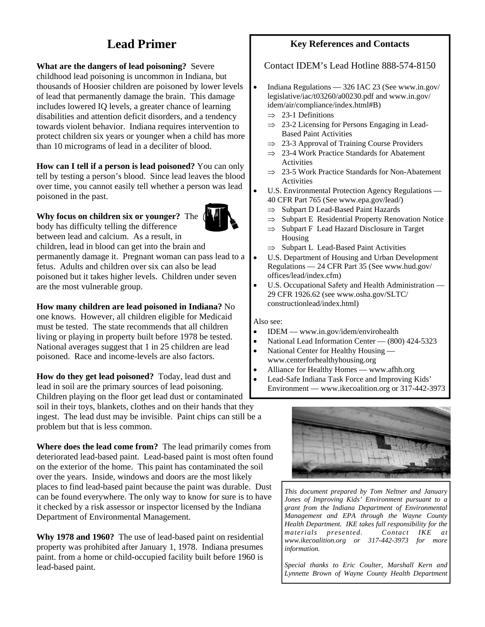### **Lead Primer**

**What are the dangers of lead poisoning?** Severe childhood lead poisoning is uncommon in Indiana, but thousands of Hoosier children are poisoned by lower levels of lead that permanently damage the brain. This damage includes lowered IQ levels, a greater chance of learning disabilities and attention deficit disorders, and a tendency towards violent behavior. Indiana requires intervention to protect children six years or younger when a child has more than 10 micrograms of lead in a deciliter of blood.

#### **How can I tell if a person is lead poisoned?** You can only

tell by testing a person's blood. Since lead leaves the blood over time, you cannot easily tell whether a person was lead poisoned in the past.

#### **Why focus on children six or younger?** The



body has difficulty telling the difference between lead and calcium. As a result, in children, lead in blood can get into the brain and

permanently damage it. Pregnant woman can pass lead to a fetus. Adults and children over six can also be lead poisoned but it takes higher levels. Children under seven are the most vulnerable group.

**How many children are lead poisoned in Indiana?** No

one knows. However, all children eligible for Medicaid must be tested. The state recommends that all children living or playing in property built before 1978 be tested. National averages suggest that 1 in 25 children are lead poisoned. Race and income-levels are also factors.

**How do they get lead poisoned?** Today, lead dust and lead in soil are the primary sources of lead poisoning.

Children playing on the floor get lead dust or contaminated soil in their toys, blankets, clothes and on their hands that they ingest. The lead dust may be invisible. Paint chips can still be a problem but that is less common.

**Where does the lead come from?** The lead primarily comes from deteriorated lead-based paint. Lead-based paint is most often found on the exterior of the home. This paint has contaminated the soil over the years. Inside, windows and doors are the most likely places to find lead-based paint because the paint was durable. Dust can be found everywhere. The only way to know for sure is to have it checked by a risk assessor or inspector licensed by the Indiana Department of Environmental Management.

**Why 1978 and 1960?** The use of lead-based paint on residential property was prohibited after January 1, 1978. Indiana presumes paint. from a home or child-occupied facility built before 1960 is lead-based paint.

#### **Key References and Contacts**

#### Contact IDEM's Lead Hotline 888-574-8150

- Indiana Regulations 326 IAC 23 (See www.in.gov/ legislative/iac/t03260/a00230.pdf and www.in.gov/ idem/air/compliance/index.html#B)
	- $\implies$  23-1 Definitions
	- $\Rightarrow$  23-2 Licensing for Persons Engaging in Lead-Based Paint Activities
	- $\Rightarrow$  23-3 Approval of Training Course Providers
	- ⇒ 23-4 Work Practice Standards for Abatement Activities
	- ⇒ 23-5 Work Practice Standards for Non-Abatement Activities
- U.S. Environmental Protection Agency Regulations -40 CFR Part 765 (See www.epa.gov/lead/)
	- ⇒ Subpart D Lead-Based Paint Hazards
	- $\Rightarrow$  Subpart E Residential Property Renovation Notice
	- $\Rightarrow$  Subpart F Lead Hazard Disclosure in Target Housing
	- ⇒ Subpart L Lead-Based Paint Activities
- U.S. Department of Housing and Urban Development Regulations — 24 CFR Part 35 (See www.hud.gov/ offices/lead/index.cfm)
- U.S. Occupational Safety and Health Administration -29 CFR 1926.62 (see www.osha.gov/SLTC/ constructionlead/index.html)

#### Also see:

- **IDEM** www.in.gov/idem/envirohealth
- National Lead Information Center (800) 424-5323
- National Center for Healthy Housing www.centerforhealthyhousing.org
- Alliance for Healthy Homes www.afhh.org
- Lead-Safe Indiana Task Force and Improving Kids' Environment — www.ikecoalition.org or 317-442-3973



*This document prepared by Tom Neltner and January Jones of Improving Kids' Environment pursuant to a grant from the Indiana Department of Environmental Management and EPA through the Wayne County Health Department. IKE takes full responsibility for the materials presented. Contact IKE at www.ikecoalition.org or 317-442-3973 for more information.* 

*Special thanks to Eric Coulter, Marshall Kern and Lynnette Brown of Wayne County Health Department*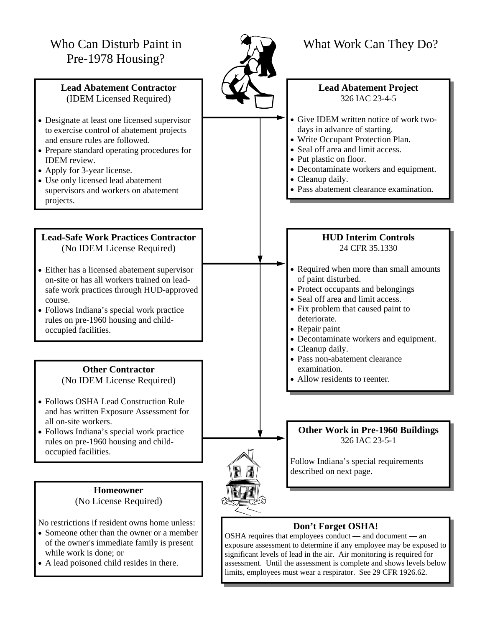